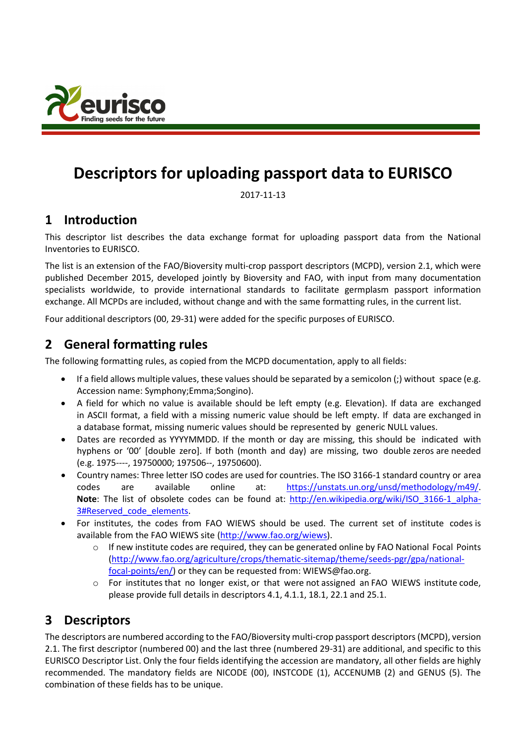

# **Descriptors for uploading passport data to EURISCO**

2017-11-13

# **1 Introduction**

This descriptor list describes the data exchange format for uploading passport data from the National Inventories to EURISCO.

The list is an extension of the FAO/Bioversity multi-crop passport descriptors (MCPD), version 2.1, which were published December 2015, developed jointly by Bioversity and FAO, with input from many documentation specialists worldwide, to provide international standards to facilitate germplasm passport information exchange. All MCPDs are included, without change and with the same formatting rules, in the current list.

Four additional descriptors (00, 29-31) were added for the specific purposes of EURISCO.

# **2 General formatting rules**

The following formatting rules, as copied from the MCPD documentation, apply to all fields:

- If a field allows multiple values, these values should be separated by a semicolon (;) without space (e.g. Accession name: Symphony;Emma;Songino).
- A field for which no value is available should be left empty (e.g. Elevation). If data are exchanged in ASCII format, a field with a missing numeric value should be left empty. If data are exchanged in a database format, missing numeric values should be represented by generic NULL values.
- Dates are recorded as YYYYMMDD. If the month or day are missing, this should be indicated with hyphens or '00' [double zero]. If both (month and day) are missing, two double zeros are needed (e.g. 1975----, 19750000; 197506--, 19750600).
- Country names: Three letter ISO codes are used for countries. The ISO 3166-1 standard country or area codes are available online at: [https://unstats.un.org/unsd/methodology/m49/.](https://unstats.un.org/unsd/methodology/m49/) **Note**: The list of obsolete codes can be found at: http://en.wikipedia.org/wiki/ISO 3166-1 alpha-3#Reserved code elements.
- For institutes, the codes from FAO WIEWS should be used. The current set of institute codes is available from the FAO WIEWS site [\(http://www.fao.org/wiews\)](http://www.fao.org/wiews).
	- $\circ$  If new institute codes are required, they can be generated online by FAO National Focal Points [\(http://www.fao.org/agriculture/crops/thematic-sitemap/theme/seeds-pgr/gpa/national](http://www.fao.org/agriculture/crops/thematic-sitemap/theme/seeds-pgr/gpa/national-focal-points/en/)[focal-points/en/\)](http://www.fao.org/agriculture/crops/thematic-sitemap/theme/seeds-pgr/gpa/national-focal-points/en/) or they can be requested from: [WIEWS@fao.org.](mailto:WIEWS@fao.org)
	- $\circ$  For institutes that no longer exist, or that were not assigned an FAO WIEWS institute code, please provide full details in descriptors 4.1, 4.1.1, 18.1, 22.1 and 25.1.

# **3 Descriptors**

The descriptors are numbered according to the FAO/Bioversity multi-crop passport descriptors (MCPD), version 2.1. The first descriptor (numbered 00) and the last three (numbered 29-31) are additional, and specific to this EURISCO Descriptor List. Only the four fields identifying the accession are mandatory, all other fields are highly recommended. The mandatory fields are NICODE (00), INSTCODE (1), ACCENUMB (2) and GENUS (5). The combination of these fields has to be unique.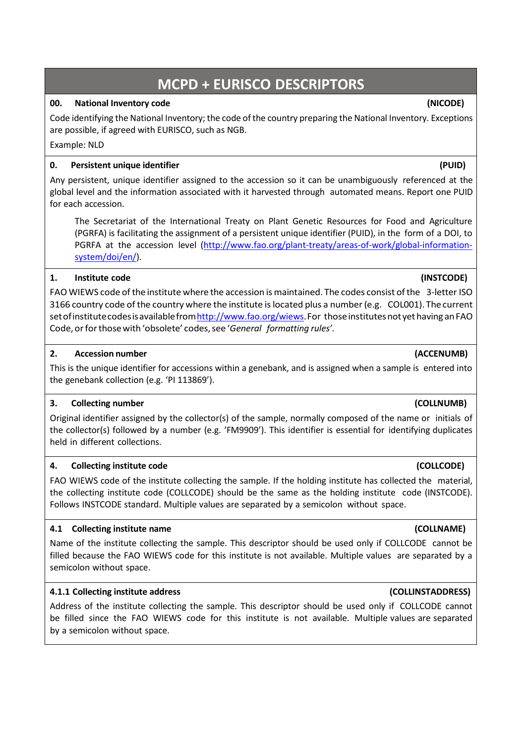# **MCPD + EURISCO DESCRIPTORS**

### **00. National Inventory code (NICODE)**

Code identifying the National Inventory; the code of the country preparing the National Inventory. Exceptions are possible, if agreed with EURISCO, such as NGB.

Example: NLD

### **0. Persistent unique identifier (PUID)**

Any persistent, unique identifier assigned to the accession so it can be unambiguously referenced at the global level and the information associated with it harvested through automated means. Report one PUID for each accession.

The Secretariat of the International Treaty on Plant Genetic Resources for Food and Agriculture (PGRFA) is facilitating the assignment of a persistent unique identifier (PUID), in the form of a DOI, to PGRFA at the accession level [\(http://www.fao.org/plant-treaty/areas-of-work/global-information](http://www.fao.org/plant-treaty/areas-of-work/global-information-system/doi/en/)[system/doi/en/\)](http://www.fao.org/plant-treaty/areas-of-work/global-information-system/doi/en/).

### **1. Institute code (INSTCODE)**

FAO WIEWS code ofthe institute where the accession is maintained. The codes consist ofthe 3-letter ISO 3166 country code of the country where the institute islocated plus a number(e.g. COL001). The current set of institute codes is available from http://www.fao.org/wiews. For those institutes not yet having an FAO Code, orforthosewith 'obsolete' codes,see '*General formatting rules'*.

### **2. Accession number (ACCENUMB)**

This is the unique identifier for accessions within a genebank, and is assigned when a sample is entered into the genebank collection (e.g. 'PI 113869').

### **3. Collecting number (COLLNUMB)**

Original identifier assigned by the collector(s) of the sample, normally composed of the name or initials of the collector(s) followed by a number (e.g. 'FM9909'). This identifier is essential for identifying duplicates held in different collections.

### **4. Collecting institute code (COLLCODE)**

FAO WIEWS code of the institute collecting the sample. If the holding institute has collected the material, the collecting institute code (COLLCODE) should be the same as the holding institute code (INSTCODE). Follows INSTCODE standard. Multiple values are separated by a semicolon without space.

### **4.1 Collecting institute name (COLLNAME)**

Name of the institute collecting the sample. This descriptor should be used only if COLLCODE cannot be filled because the FAO WIEWS code for this institute is not available. Multiple values are separated by a semicolon without space.

### **4.1.1 Collecting institute address (COLLINSTADDRESS)**

Address of the institute collecting the sample. This descriptor should be used only if COLLCODE cannot be filled since the FAO WIEWS code for this institute is not available. Multiple values are separated by a semicolon without space.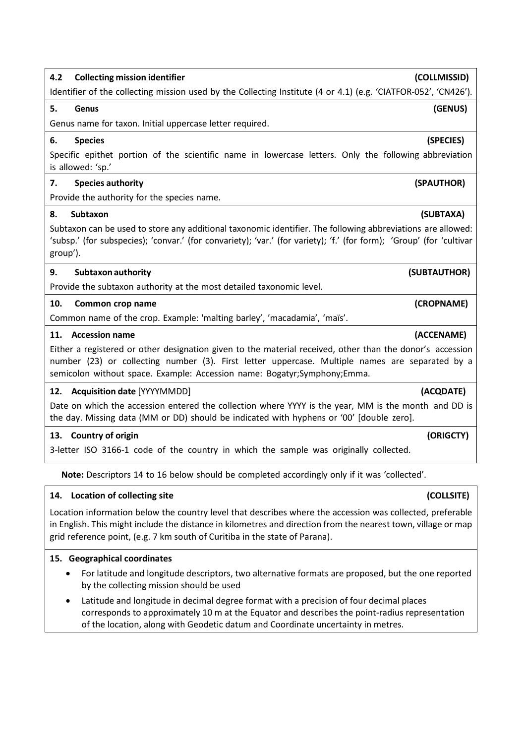# **4.2 Collecting mission identifier (COLLMISSID)**

Identifier of the collecting mission used by the Collecting Institute (4 or 4.1) (e.g. 'CIATFOR-052', 'CN426').

### **5. Genus (GENUS)**

Genus name for taxon. Initial uppercase letter required.

### **6. Species (SPECIES)**

Specific epithet portion of the scientific name in lowercase letters. Only the following abbreviation is allowed: 'sp.'

### **7. Species authority (SPAUTHOR)**

Provide the authority for the species name.

### **8. Subtaxon (SUBTAXA)**

Subtaxon can be used to store any additional taxonomic identifier. The following abbreviations are allowed: 'subsp.' (for subspecies); 'convar.' (for convariety); 'var.' (for variety); 'f.' (for form); 'Group' (for 'cultivar group').

### **9. Subtaxon authority (SUBTAUTHOR)**

Provide the subtaxon authority at the most detailed taxonomic level.

### **10. Common crop name (CROPNAME)**

Common name of the crop. Example: 'malting barley', 'macadamia', 'maïs'.

### **11. Accession name (ACCENAME)**

Either a registered or other designation given to the material received, other than the donor's accession number (23) or collecting number (3). First letter uppercase. Multiple names are separated by a semicolon without space. Example: Accession name: Bogatyr;Symphony;Emma.

### **12. Acquisition date** [YYYYMMDD] **(ACQDATE)**

Date on which the accession entered the collection where YYYY is the year, MM is the month and DD is the day. Missing data (MM or DD) should be indicated with hyphens or '00' [double zero].

### **13. Country of origin (ORIGCTY)**

3-letter ISO 3166-1 code of the country in which the sample was originally collected.

**Note:** Descriptors 14 to 16 below should be completed accordingly only if it was 'collected'.

### **14. Location of collecting site (COLLSITE)**

Location information below the country level that describes where the accession was collected, preferable in English. This might include the distance in kilometres and direction from the nearest town, village or map grid reference point, (e.g. 7 km south of Curitiba in the state of Parana).

### **15. Geographical coordinates**

- For latitude and longitude descriptors, two alternative formats are proposed, but the one reported by the collecting mission should be used
- Latitude and longitude in decimal degree format with a precision of four decimal places corresponds to approximately 10 m at the Equator and describes the point-radius representation of the location, along with Geodetic datum and Coordinate uncertainty in metres.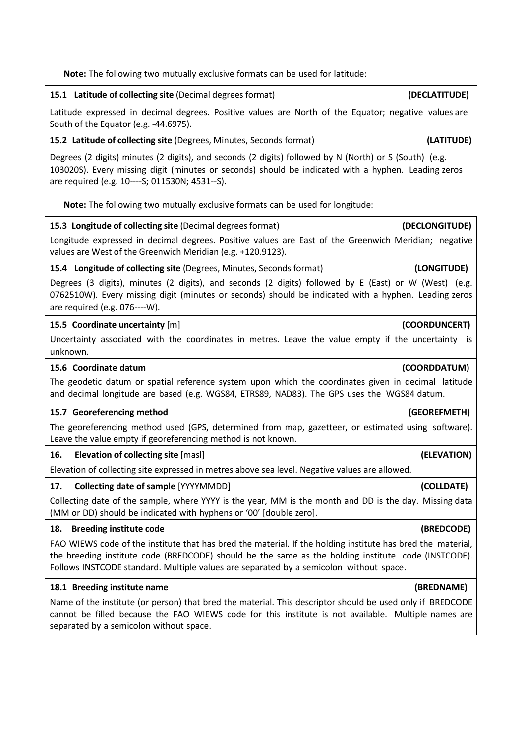**Note:** The following two mutually exclusive formats can be used for latitude:

### **15.1 Latitude of collecting site** (Decimal degrees format) **(DECLATITUDE)**

Latitude expressed in decimal degrees. Positive values are North of the Equator; negative values are South of the Equator (e.g. -44.6975).

### **15.2 Latitude of collecting site** (Degrees, Minutes, Seconds format) **(LATITUDE)**

Degrees (2 digits) minutes (2 digits), and seconds (2 digits) followed by N (North) or S (South) (e.g. 103020S). Every missing digit (minutes or seconds) should be indicated with a hyphen. Leading zeros are required (e.g. 10----S; 011530N; 4531--S).

**Note:** The following two mutually exclusive formats can be used for longitude:

### **15.3 Longitude of collecting site** (Decimal degrees format) **(DECLONGITUDE)**

Longitude expressed in decimal degrees. Positive values are East of the Greenwich Meridian; negative values are West of the Greenwich Meridian (e.g. +120.9123).

### **15.4 Longitude of collecting site** (Degrees, Minutes, Seconds format) **(LONGITUDE)**

Degrees (3 digits), minutes (2 digits), and seconds (2 digits) followed by E (East) or W (West) (e.g. 0762510W). Every missing digit (minutes or seconds) should be indicated with a hyphen. Leading zeros are required (e.g. 076----W).

### **15.5 Coordinate uncertainty** [m] **(COORDUNCERT)**

Uncertainty associated with the coordinates in metres. Leave the value empty if the uncertainty is unknown.

### **15.6 Coordinate datum (COORDDATUM)**

The geodetic datum or spatial reference system upon which the coordinates given in decimal latitude and decimal longitude are based (e.g. WGS84, ETRS89, NAD83). The GPS uses the WGS84 datum.

### **15.7 Georeferencing method (GEOREFMETH)**

The georeferencing method used (GPS, determined from map, gazetteer, or estimated using software). Leave the value empty if georeferencing method is not known.

### **16. Elevation of collecting site** [masl] **(ELEVATION)**

Elevation of collecting site expressed in metres above sea level. Negative values are allowed.

### **17. Collecting date of sample** [YYYYMMDD] **(COLLDATE)**

Collecting date of the sample, where YYYY is the year, MM is the month and DD is the day. Missing data (MM or DD) should be indicated with hyphens or '00' [double zero].

### **18. Breeding institute code (BREDCODE)**

FAO WIEWS code of the institute that has bred the material. If the holding institute has bred the material, the breeding institute code (BREDCODE) should be the same as the holding institute code (INSTCODE). Follows INSTCODE standard. Multiple values are separated by a semicolon without space.

### **18.1 Breeding institute name (BREDNAME)**

Name of the institute (or person) that bred the material. This descriptor should be used only if BREDCODE cannot be filled because the FAO WIEWS code for this institute is not available. Multiple names are separated by a semicolon without space.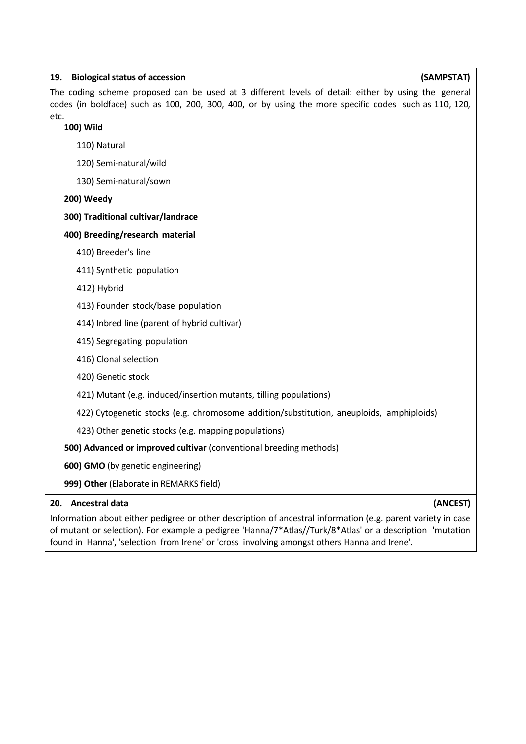| (SAMPSTAT)<br>19.<br><b>Biological status of accession</b>                                                                                                                                                           |
|----------------------------------------------------------------------------------------------------------------------------------------------------------------------------------------------------------------------|
| The coding scheme proposed can be used at 3 different levels of detail: either by using the general<br>codes (in boldface) such as 100, 200, 300, 400, or by using the more specific codes such as 110, 120,<br>etc. |
| 100) Wild                                                                                                                                                                                                            |
| 110) Natural                                                                                                                                                                                                         |
| 120) Semi-natural/wild                                                                                                                                                                                               |
| 130) Semi-natural/sown                                                                                                                                                                                               |
| 200) Weedy                                                                                                                                                                                                           |
| 300) Traditional cultivar/landrace                                                                                                                                                                                   |
| 400) Breeding/research material                                                                                                                                                                                      |
| 410) Breeder's line                                                                                                                                                                                                  |
| 411) Synthetic population                                                                                                                                                                                            |
| 412) Hybrid                                                                                                                                                                                                          |
| 413) Founder stock/base population                                                                                                                                                                                   |
| 414) Inbred line (parent of hybrid cultivar)                                                                                                                                                                         |
| 415) Segregating population                                                                                                                                                                                          |
| 416) Clonal selection                                                                                                                                                                                                |
| 420) Genetic stock                                                                                                                                                                                                   |
| 421) Mutant (e.g. induced/insertion mutants, tilling populations)                                                                                                                                                    |
| 422) Cytogenetic stocks (e.g. chromosome addition/substitution, aneuploids, amphiploids)                                                                                                                             |
| 423) Other genetic stocks (e.g. mapping populations)                                                                                                                                                                 |
| 500) Advanced or improved cultivar (conventional breeding methods)                                                                                                                                                   |
| 600) GMO (by genetic engineering)                                                                                                                                                                                    |

**999) Other** (Elaborate in REMARKS field)

### **20. Ancestral data (ANCEST)**

Information about either pedigree or other description of ancestral information (e.g. parent variety in case of mutant or selection). For example a pedigree 'Hanna/7\*Atlas//Turk/8\*Atlas' or a description 'mutation found in Hanna', 'selection from Irene' or 'cross involving amongst others Hanna and Irene'.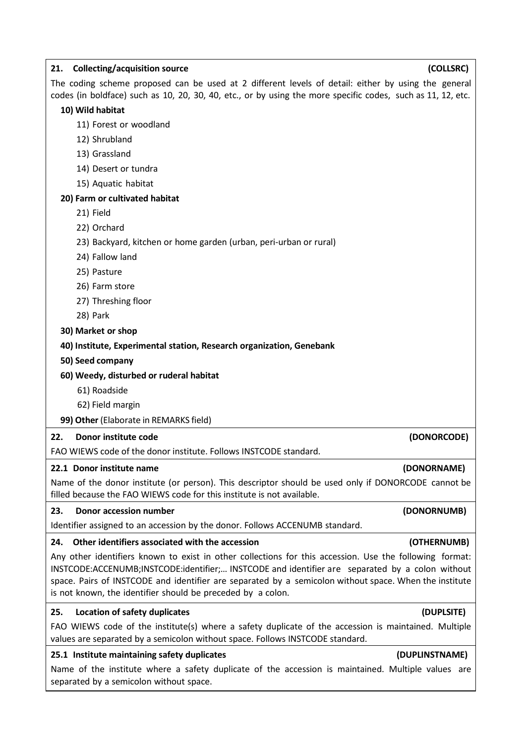| <b>Collecting/acquisition source</b><br>(COLLSRC)<br>21.                                                                                                                                                                                                                                                                                                                            |
|-------------------------------------------------------------------------------------------------------------------------------------------------------------------------------------------------------------------------------------------------------------------------------------------------------------------------------------------------------------------------------------|
| The coding scheme proposed can be used at 2 different levels of detail: either by using the general<br>codes (in boldface) such as 10, 20, 30, 40, etc., or by using the more specific codes, such as 11, 12, etc.                                                                                                                                                                  |
| 10) Wild habitat                                                                                                                                                                                                                                                                                                                                                                    |
| 11) Forest or woodland                                                                                                                                                                                                                                                                                                                                                              |
| 12) Shrubland                                                                                                                                                                                                                                                                                                                                                                       |
| 13) Grassland                                                                                                                                                                                                                                                                                                                                                                       |
| 14) Desert or tundra                                                                                                                                                                                                                                                                                                                                                                |
| 15) Aquatic habitat                                                                                                                                                                                                                                                                                                                                                                 |
| 20) Farm or cultivated habitat                                                                                                                                                                                                                                                                                                                                                      |
| 21) Field                                                                                                                                                                                                                                                                                                                                                                           |
| 22) Orchard                                                                                                                                                                                                                                                                                                                                                                         |
| 23) Backyard, kitchen or home garden (urban, peri-urban or rural)                                                                                                                                                                                                                                                                                                                   |
| 24) Fallow land                                                                                                                                                                                                                                                                                                                                                                     |
| 25) Pasture                                                                                                                                                                                                                                                                                                                                                                         |
| 26) Farm store                                                                                                                                                                                                                                                                                                                                                                      |
| 27) Threshing floor                                                                                                                                                                                                                                                                                                                                                                 |
| 28) Park                                                                                                                                                                                                                                                                                                                                                                            |
| 30) Market or shop                                                                                                                                                                                                                                                                                                                                                                  |
| 40) Institute, Experimental station, Research organization, Genebank                                                                                                                                                                                                                                                                                                                |
| 50) Seed company                                                                                                                                                                                                                                                                                                                                                                    |
| 60) Weedy, disturbed or ruderal habitat                                                                                                                                                                                                                                                                                                                                             |
| 61) Roadside                                                                                                                                                                                                                                                                                                                                                                        |
| 62) Field margin                                                                                                                                                                                                                                                                                                                                                                    |
| 99) Other (Elaborate in REMARKS field)                                                                                                                                                                                                                                                                                                                                              |
| Donor institute code<br>22.<br>(DONORCODE)                                                                                                                                                                                                                                                                                                                                          |
| FAO WIEWS code of the donor institute. Follows INSTCODE standard.                                                                                                                                                                                                                                                                                                                   |
| (DONORNAME)<br>22.1 Donor institute name                                                                                                                                                                                                                                                                                                                                            |
| Name of the donor institute (or person). This descriptor should be used only if DONORCODE cannot be<br>filled because the FAO WIEWS code for this institute is not available.                                                                                                                                                                                                       |
| <b>Donor accession number</b><br>23.<br>(DONORNUMB)                                                                                                                                                                                                                                                                                                                                 |
| Identifier assigned to an accession by the donor. Follows ACCENUMB standard.                                                                                                                                                                                                                                                                                                        |
| Other identifiers associated with the accession<br>(OTHERNUMB)<br>24.                                                                                                                                                                                                                                                                                                               |
| Any other identifiers known to exist in other collections for this accession. Use the following format:<br>INSTCODE:ACCENUMB;INSTCODE:identifier; INSTCODE and identifier are separated by a colon without<br>space. Pairs of INSTCODE and identifier are separated by a semicolon without space. When the institute<br>is not known, the identifier should be preceded by a colon. |
| (DUPLSITE)<br>25.<br><b>Location of safety duplicates</b>                                                                                                                                                                                                                                                                                                                           |
| FAO WIEWS code of the institute(s) where a safety duplicate of the accession is maintained. Multiple<br>values are separated by a semicolon without space. Follows INSTCODE standard.                                                                                                                                                                                               |
| 25.1 Institute maintaining safety duplicates<br>(DUPLINSTNAME)                                                                                                                                                                                                                                                                                                                      |
| Name of the institute where a safety duplicate of the accession is maintained. Multiple values are<br>separated by a semicolon without space.                                                                                                                                                                                                                                       |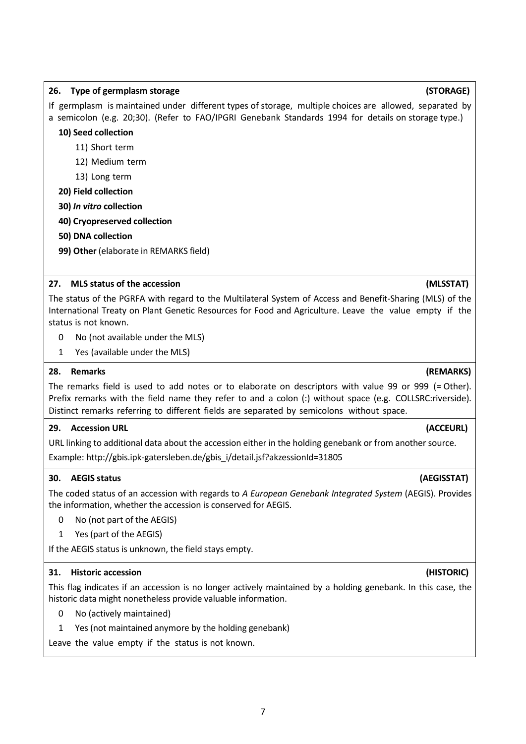# **26. Type of germplasm storage (STORAGE)**

If germplasm is maintained under different types of storage, multiple choices are allowed, separated by a semicolon (e.g. 20;30). (Refer to FAO/IPGRI Genebank Standards 1994 for details on storage type.)

## **10) Seed collection**

- 11) Short term
- 12) Medium term
- 13) Long term

# **20) Field collection**

**30)** *In vitro* **collection**

# **40) Cryopreserved collection**

- **50) DNA collection**
- **99) Other** (elaborate in REMARKS field)

# **27. MLS status of the accession (MLSSTAT)**

The status of the PGRFA with regard to the Multilateral System of Access and Benefit-Sharing (MLS) of the International Treaty on Plant Genetic Resources for Food and Agriculture. Leave the value empty if the status is not known.

- 0 No (not available under the MLS)
- 1 Yes (available under the MLS)

# **28. Remarks (REMARKS)**

The remarks field is used to add notes or to elaborate on descriptors with value 99 or 999 (= Other). Prefix remarks with the field name they refer to and a colon (:) without space (e.g. COLLSRC:riverside). Distinct remarks referring to different fields are separated by semicolons without space.

# **29. Accession URL (ACCEURL)**

URL linking to additional data about the accession either in the holding genebank or from another source. Example: http://gbis.ipk-gatersleben.de/gbis\_i/detail.jsf?akzessionId=31805

# **30. AEGIS status (AEGISSTAT)**

The coded status of an accession with regards to *A European Genebank Integrated System* (AEGIS). Provides the information, whether the accession is conserved for AEGIS.

- 0 No (not part of the AEGIS)
- 1 Yes (part of the AEGIS)

If the AEGIS status is unknown, the field stays empty.

## **31. Historic accession (HISTORIC)**

This flag indicates if an accession is no longer actively maintained by a holding genebank. In this case, the historic data might nonetheless provide valuable information.

- 0 No (actively maintained)
- 1 Yes (not maintained anymore by the holding genebank)

Leave the value empty if the status is not known.